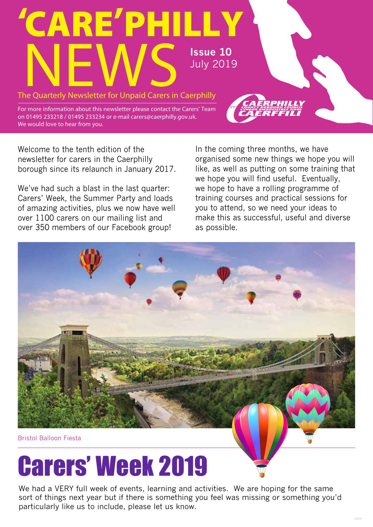

For more information about this newsletter please contact the Carers' Team on 01495 233218 / 01495 233234 or e-mail carers@caerphilly.gov.uk. We would love to hear from you.

Welcome to the tenth edition of the newsletter for carers in the Caerphilly borough since its relaunch in January 2017.

We've had such a blast in the last quarter: Carers' Week, the Summer Party and loads of amazing activities, plus we now have well over 1100 carers on our mailing list and over 350 members of our Facebook group!

In the coming three months, we have organised some new things we hope you will like, as well as putting on some training that we hope you will find useful. Eventually, we hope to have a rolling programme of training courses and practical sessions for you to attend, so we need your ideas to make this as successful, useful and diverse as possible.



### Carers' Week 2019

We had a VERY full week of events, learning and activities. We are hoping for the same sort of things next year but if there is something you feel was missing or something you'd particularly like us to include, please let us know.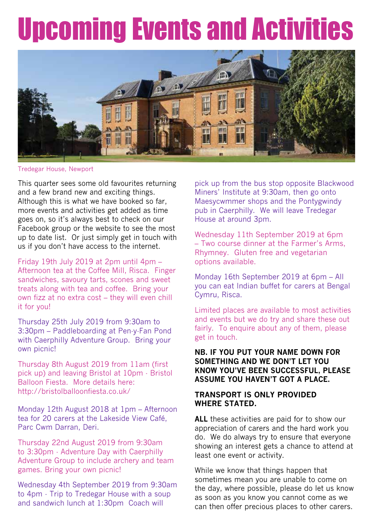### Upcoming Events and Activities



Tredegar House, Newport

This quarter sees some old favourites returning and a few brand new and exciting things. Although this is what we have booked so far, more events and activities get added as time goes on, so it's always best to check on our Facebook group or the website to see the most up to date list. Or just simply get in touch with us if you don't have access to the internet.

Friday 19th July 2019 at 2pm until 4pm – Afternoon tea at the Coffee Mill, Risca. Finger sandwiches, savoury tarts, scones and sweet treats along with tea and coffee. Bring your own fizz at no extra cost – they will even chill it for you!

Thursday 25th July 2019 from 9:30am to 3:30pm – Paddleboarding at Pen-y-Fan Pond with Caerphilly Adventure Group. Bring your own picnic!

Thursday 8th August 2019 from 11am (first pick up) and leaving Bristol at 10pm - Bristol Balloon Fiesta. More details here: http://bristolballoonfiesta.co.uk/

Monday 12th August 2018 at 1pm – Afternoon tea for 20 carers at the Lakeside View Café, Parc Cwm Darran, Deri.

Thursday 22nd August 2019 from 9:30am to 3:30pm - Adventure Day with Caerphilly Adventure Group to include archery and team games. Bring your own picnic!

Wednesday 4th September 2019 from 9:30am to 4pm - Trip to Tredegar House with a soup and sandwich lunch at 1:30pm Coach will

pick up from the bus stop opposite Blackwood Miners' Institute at 9:30am, then go onto Maesycwmmer shops and the Pontygwindy pub in Caerphilly. We will leave Tredegar House at around 3pm.

Wednesday 11th September 2019 at 6pm – Two course dinner at the Farmer's Arms, Rhymney. Gluten free and vegetarian options available.

Monday 16th September 2019 at 6pm – All you can eat Indian buffet for carers at Bengal Cymru, Risca.

Limited places are available to most activities and events but we do try and share these out fairly. To enquire about any of them, please get in touch.

#### **NB. IF YOU PUT YOUR NAME DOWN FOR SOMETHING AND WE DON'T LET YOU KNOW YOU'VE BEEN SUCCESSFUL, PLEASE ASSUME YOU HAVEN'T GOT A PLACE.**

#### **TRANSPORT IS ONLY PROVIDED WHERE STATED.**

**ALL** these activities are paid for to show our appreciation of carers and the hard work you do. We do always try to ensure that everyone showing an interest gets a chance to attend at least one event or activity.

While we know that things happen that sometimes mean you are unable to come on the day, where possible, please do let us know as soon as you know you cannot come as we can then offer precious places to other carers.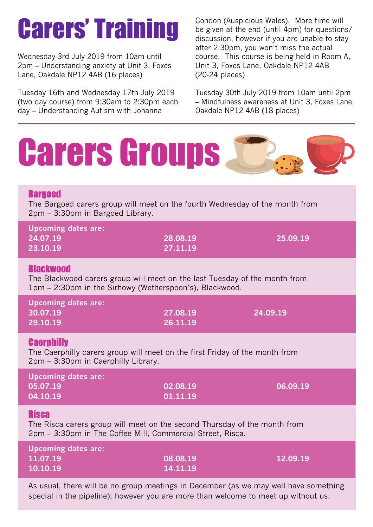### Carers' Training

Wednesday 3rd July 2019 from 10am until 2pm – Understanding anxiety at Unit 3, Foxes Lane, Oakdale NP12 4AB (16 places)

Tuesday 16th and Wednesday 17th July 2019 (two day course) from 9:30am to 2:30pm each day – Understanding Autism with Johanna

Condon (Auspicious Wales). More time will be given at the end (until 4pm) for questions/ discussion, however if you are unable to stay after 2:30pm, you won't miss the actual course. This course is being held in Room A, Unit 3, Foxes Lane, Oakdale NP12 4AB (20-24 places)

Tuesday 30th July 2019 from 10am until 2pm – Mindfulness awareness at Unit 3, Foxes Lane, Oakdale NP12 4AB (18 places)



| <b>Upcoming dates are:</b> |          |          |
|----------------------------|----------|----------|
| 11.07.19                   | 08.08.19 | 12.09.19 |
| 10.10.19                   | 14.11.19 |          |

As usual, there will be no group meetings in December (as we may well have something special in the pipeline); however you are more than welcome to meet up without us.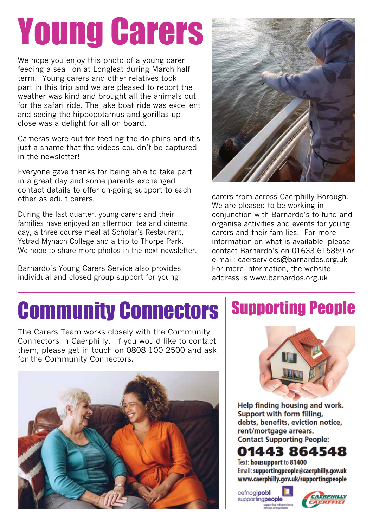# Young Carers

We hope you enjoy this photo of a young carer feeding a sea lion at Longleat during March half term. Young carers and other relatives took part in this trip and we are pleased to report the weather was kind and brought all the animals out for the safari ride. The lake boat ride was excellent and seeing the hippopotamus and gorillas up close was a delight for all on board.

Cameras were out for feeding the dolphins and it's just a shame that the videos couldn't be captured in the newsletter!

Everyone gave thanks for being able to take part in a great day and some parents exchanged contact details to offer on-going support to each other as adult carers.

During the last quarter, young carers and their families have enjoyed an afternoon tea and cinema day, a three course meal at Scholar's Restaurant, Ystrad Mynach College and a trip to Thorpe Park. We hope to share more photos in the next newsletter.

Barnardo's Young Carers Service also provides individual and closed group support for young



carers from across Caerphilly Borough. We are pleased to be working in conjunction with Barnardo's to fund and organise activities and events for young carers and their families. For more information on what is available, please contact Barnardo's on 01633 615859 or e-mail: caerservices@barnardos.org.uk For more information, the website address is www.barnardos.org.uk

#### Community Connectors Supporting People

The Carers Team works closely with the Community Connectors in Caerphilly. If you would like to contact them, please get in touch on 0808 100 2500 and ask for the Community Connectors.





Help finding housing and work. Support with form filling, debts, benefits, eviction notice, rent/mortgage arrears. **Contact Supporting People:** 

#### 01443 864548

Text: housupport to 81400 Email: supportingpeople@caerphilly.gov.uk www.caerphilly.gov.uk/supportingpeople

cefnogipobl supportingpeople

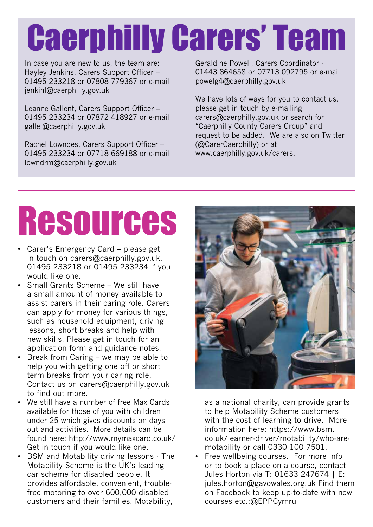## Caerphilly Carers' Team

In case you are new to us, the team are: Hayley Jenkins, Carers Support Officer – 01495 233218 or 07808 779367 or e-mail jenkihl@caerphilly.gov.uk

Leanne Gallent, Carers Support Officer – 01495 233234 or 07872 418927 or e-mail gallel@caerphilly.gov.uk

Rachel Lowndes, Carers Support Officer – 01495 233234 or 07718 669188 or e-mail lowndrm@caerphilly.gov.uk

Geraldine Powell, Carers Coordinator - 01443 864658 or 07713 092795 or e-mail powelg4@caerphilly.gov.uk

We have lots of ways for you to contact us, please get in touch by e-mailing carers@caerphilly.gov.uk or search for "Caerphilly County Carers Group" and request to be added. We are also on Twitter (@CarerCaerphilly) or at www.caerphilly.gov.uk/carers.

### Resources

- Carer's Emergency Card please get in touch on carers@caerphilly.gov.uk, 01495 233218 or 01495 233234 if you would like one.
- Small Grants Scheme We still have a small amount of money available to assist carers in their caring role. Carers can apply for money for various things, such as household equipment, driving lessons, short breaks and help with new skills. Please get in touch for an application form and guidance notes.
- Break from Caring we may be able to help you with getting one off or short term breaks from your caring role. Contact us on carers@caerphilly.gov.uk to find out more.
- We still have a number of free Max Cards available for those of you with children under 25 which gives discounts on days out and activities. More details can be found here: http://www.mymaxcard.co.uk/ Get in touch if you would like one.
- BSM and Motability driving lessons The Motability Scheme is the UK's leading car scheme for disabled people. It provides affordable, convenient, troublefree motoring to over 600,000 disabled customers and their families. Motability,



as a national charity, can provide grants to help Motability Scheme customers with the cost of learning to drive. More information here: https://www.bsm. co.uk/learner-driver/motability/who-aremotability or call 0330 100 7501.

• Free wellbeing courses. For more info or to book a place on a course, contact Jules Horton via T: 01633 247674 | E: jules.horton@gavowales.org.uk Find them on Facebook to keep up-to-date with new courses etc.:@EPPCymru